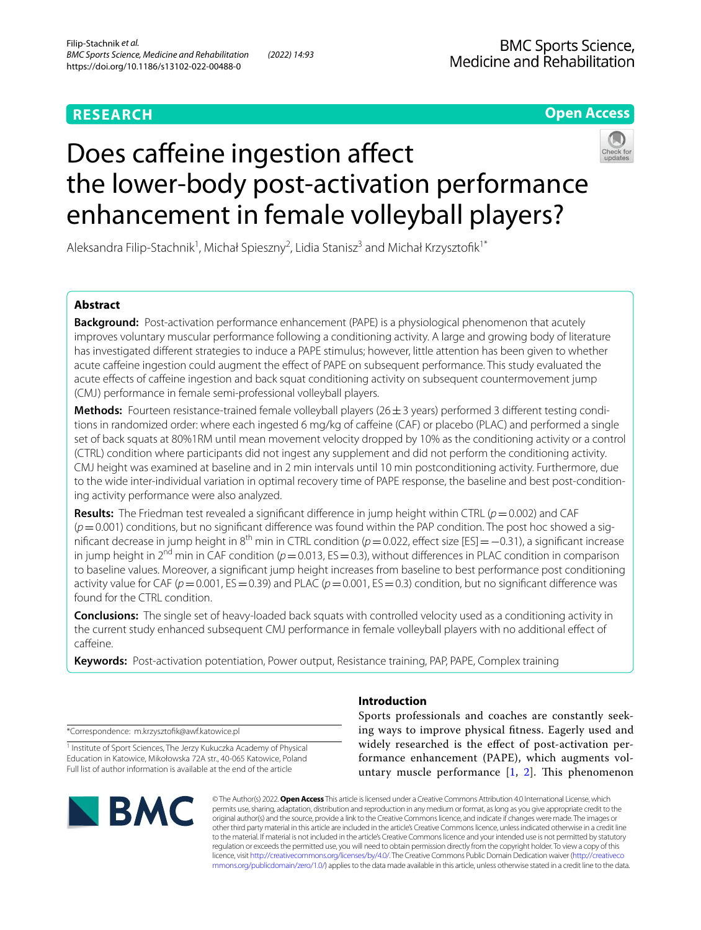# **RESEARCH**

# **BMC Sports Science,** Medicine and Rehabilitation

**Open Access**

# Does caffeine ingestion affect the lower-body post-activation performance enhancement in female volleyball players?

Aleksandra Filip-Stachnik<sup>1</sup>, Michał Spieszny<sup>2</sup>, Lidia Stanisz<sup>3</sup> and Michał Krzysztofik<sup>1\*</sup>

## **Abstract**

**Background:** Post-activation performance enhancement (PAPE) is a physiological phenomenon that acutely improves voluntary muscular performance following a conditioning activity. A large and growing body of literature has investigated diferent strategies to induce a PAPE stimulus; however, little attention has been given to whether acute cafeine ingestion could augment the efect of PAPE on subsequent performance. This study evaluated the acute efects of cafeine ingestion and back squat conditioning activity on subsequent countermovement jump (CMJ) performance in female semi-professional volleyball players.

**Methods:** Fourteen resistance-trained female volleyball players ( $26 \pm 3$  years) performed 3 different testing conditions in randomized order: where each ingested 6 mg/kg of caffeine (CAF) or placebo (PLAC) and performed a single set of back squats at 80%1RM until mean movement velocity dropped by 10% as the conditioning activity or a control (CTRL) condition where participants did not ingest any supplement and did not perform the conditioning activity. CMJ height was examined at baseline and in 2 min intervals until 10 min postconditioning activity. Furthermore, due to the wide inter-individual variation in optimal recovery time of PAPE response, the baseline and best post-conditioning activity performance were also analyzed.

**Results:** The Friedman test revealed a signifcant diference in jump height within CTRL (*p*=0.002) and CAF  $(p=0.001)$  conditions, but no significant difference was found within the PAP condition. The post hoc showed a significant decrease in jump height in 8<sup>th</sup> min in CTRL condition (*p* = 0.022, effect size [ES] = −0.31), a significant increase in jump height in  $2^{nd}$  min in CAF condition ( $p=0.013$ , ES = 0.3), without differences in PLAC condition in comparison to baseline values. Moreover, a signifcant jump height increases from baseline to best performance post conditioning activity value for CAF ( $p=0.001$ , ES = 0.39) and PLAC ( $p=0.001$ , ES = 0.3) condition, but no significant difference was found for the CTRL condition.

**Conclusions:** The single set of heavy-loaded back squats with controlled velocity used as a conditioning activity in the current study enhanced subsequent CMJ performance in female volleyball players with no additional efect of caffeine.

**Keywords:** Post-activation potentiation, Power output, Resistance training, PAP, PAPE, Complex training

\*Correspondence: m.krzysztofk@awf.katowice.pl

<sup>1</sup> Institute of Sport Sciences, The Jerzy Kukuczka Academy of Physical Education in Katowice, Mikołowska 72A str., 40‑065 Katowice, Poland Full list of author information is available at the end of the article



## **Introduction**

Sports professionals and coaches are constantly seeking ways to improve physical ftness. Eagerly used and widely researched is the efect of post-activation performance enhancement (PAPE), which augments voluntary muscle performance  $[1, 2]$  $[1, 2]$  $[1, 2]$  $[1, 2]$ . This phenomenon

© The Author(s) 2022. **Open Access** This article is licensed under a Creative Commons Attribution 4.0 International License, which permits use, sharing, adaptation, distribution and reproduction in any medium or format, as long as you give appropriate credit to the original author(s) and the source, provide a link to the Creative Commons licence, and indicate if changes were made. The images or other third party material in this article are included in the article's Creative Commons licence, unless indicated otherwise in a credit line to the material. If material is not included in the article's Creative Commons licence and your intended use is not permitted by statutory regulation or exceeds the permitted use, you will need to obtain permission directly from the copyright holder. To view a copy of this licence, visit [http://creativecommons.org/licenses/by/4.0/.](http://creativecommons.org/licenses/by/4.0/) The Creative Commons Public Domain Dedication waiver ([http://creativeco](http://creativecommons.org/publicdomain/zero/1.0/) [mmons.org/publicdomain/zero/1.0/](http://creativecommons.org/publicdomain/zero/1.0/)) applies to the data made available in this article, unless otherwise stated in a credit line to the data.

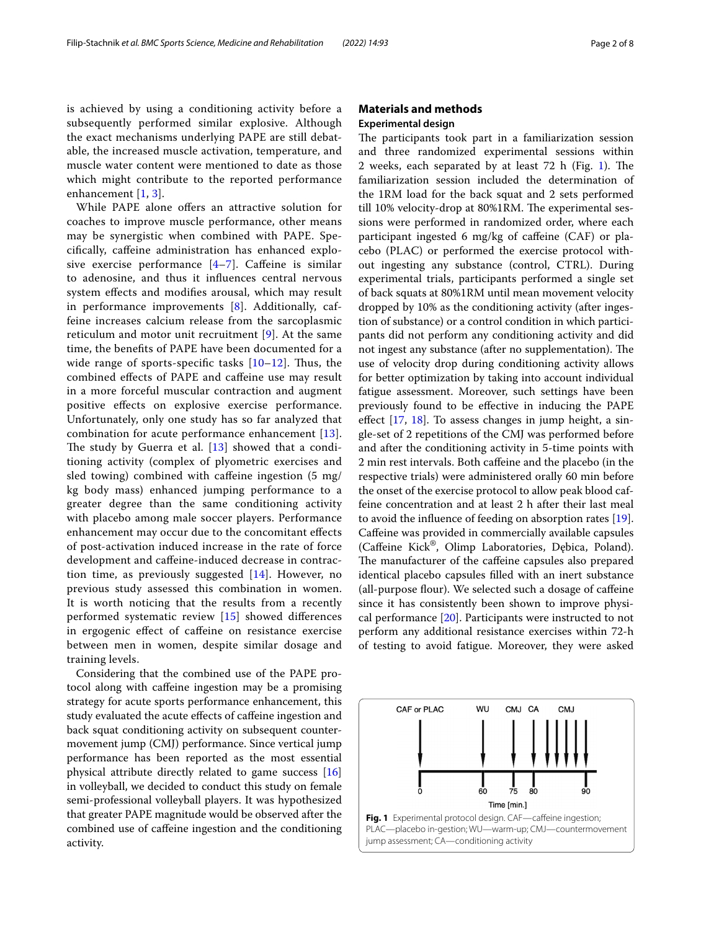is achieved by using a conditioning activity before a subsequently performed similar explosive. Although the exact mechanisms underlying PAPE are still debatable, the increased muscle activation, temperature, and muscle water content were mentioned to date as those which might contribute to the reported performance enhancement [\[1](#page-6-0), [3](#page-6-2)].

While PAPE alone ofers an attractive solution for coaches to improve muscle performance, other means may be synergistic when combined with PAPE. Specifcally, cafeine administration has enhanced explosive exercise performance  $[4-7]$  $[4-7]$  $[4-7]$ . Caffeine is similar to adenosine, and thus it infuences central nervous system efects and modifes arousal, which may result in performance improvements [[8](#page-6-5)]. Additionally, caffeine increases calcium release from the sarcoplasmic reticulum and motor unit recruitment [[9\]](#page-6-6). At the same time, the benefts of PAPE have been documented for a wide range of sports-specific tasks  $[10-12]$  $[10-12]$ . Thus, the combined efects of PAPE and cafeine use may result in a more forceful muscular contraction and augment positive efects on explosive exercise performance. Unfortunately, only one study has so far analyzed that combination for acute performance enhancement [[13\]](#page-7-2). The study by Guerra et al.  $[13]$  showed that a conditioning activity (complex of plyometric exercises and sled towing) combined with cafeine ingestion (5 mg/ kg body mass) enhanced jumping performance to a greater degree than the same conditioning activity with placebo among male soccer players. Performance enhancement may occur due to the concomitant efects of post-activation induced increase in the rate of force development and cafeine-induced decrease in contraction time, as previously suggested [\[14](#page-7-3)]. However, no previous study assessed this combination in women. It is worth noticing that the results from a recently performed systematic review [[15\]](#page-7-4) showed diferences in ergogenic efect of cafeine on resistance exercise between men in women, despite similar dosage and training levels.

Considering that the combined use of the PAPE protocol along with cafeine ingestion may be a promising strategy for acute sports performance enhancement, this study evaluated the acute efects of cafeine ingestion and back squat conditioning activity on subsequent countermovement jump (CMJ) performance. Since vertical jump performance has been reported as the most essential physical attribute directly related to game success [[16](#page-7-5)] in volleyball, we decided to conduct this study on female semi-professional volleyball players. It was hypothesized that greater PAPE magnitude would be observed after the combined use of cafeine ingestion and the conditioning activity.

## **Materials and methods Experimental design**

The participants took part in a familiarization session and three randomized experimental sessions within 2 weeks, each separated by at least  $72$  h (Fig. [1](#page-1-0)). The familiarization session included the determination of the 1RM load for the back squat and 2 sets performed till 10% velocity-drop at 80%1RM. The experimental sessions were performed in randomized order, where each participant ingested 6 mg/kg of caffeine (CAF) or placebo (PLAC) or performed the exercise protocol without ingesting any substance (control, CTRL). During experimental trials, participants performed a single set of back squats at 80%1RM until mean movement velocity dropped by 10% as the conditioning activity (after ingestion of substance) or a control condition in which participants did not perform any conditioning activity and did not ingest any substance (after no supplementation). The use of velocity drop during conditioning activity allows for better optimization by taking into account individual fatigue assessment. Moreover, such settings have been previously found to be efective in inducing the PAPE efect [[17,](#page-7-6) [18](#page-7-7)]. To assess changes in jump height, a single-set of 2 repetitions of the CMJ was performed before and after the conditioning activity in 5-time points with 2 min rest intervals. Both cafeine and the placebo (in the respective trials) were administered orally 60 min before the onset of the exercise protocol to allow peak blood caffeine concentration and at least 2 h after their last meal to avoid the infuence of feeding on absorption rates [\[19](#page-7-8)]. Cafeine was provided in commercially available capsules (Cafeine Kick®, Olimp Laboratories, Dębica, Poland). The manufacturer of the caffeine capsules also prepared identical placebo capsules flled with an inert substance (all-purpose flour). We selected such a dosage of caffeine since it has consistently been shown to improve physical performance [\[20](#page-7-9)]. Participants were instructed to not perform any additional resistance exercises within 72-h of testing to avoid fatigue. Moreover, they were asked

<span id="page-1-0"></span>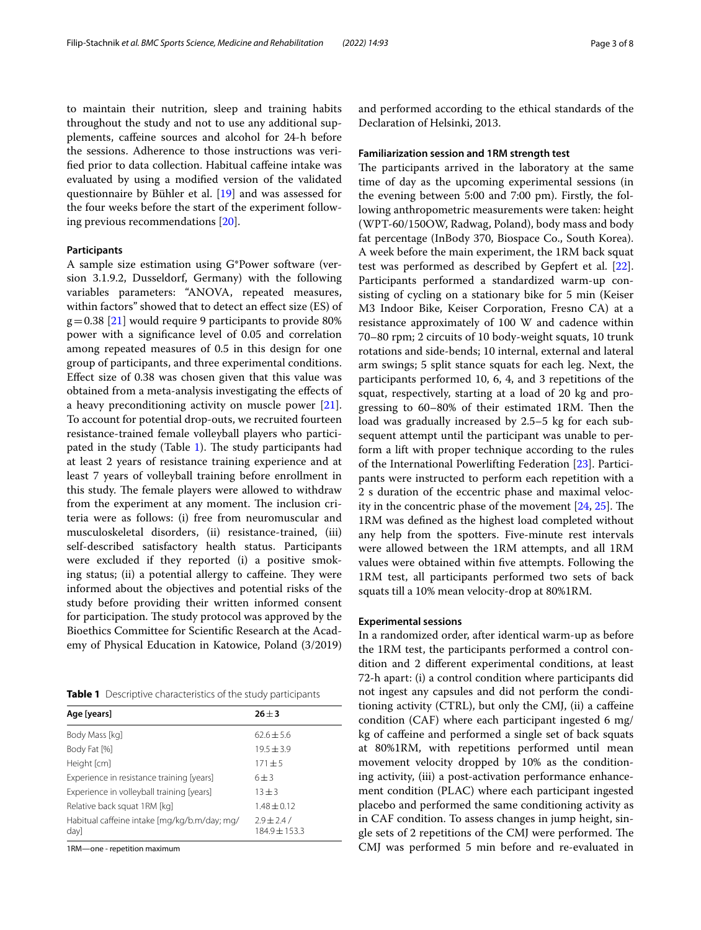to maintain their nutrition, sleep and training habits throughout the study and not to use any additional supplements, cafeine sources and alcohol for 24-h before the sessions. Adherence to those instructions was verifed prior to data collection. Habitual cafeine intake was evaluated by using a modifed version of the validated questionnaire by Bühler et al. [\[19\]](#page-7-8) and was assessed for the four weeks before the start of the experiment following previous recommendations [[20\]](#page-7-9).

## **Participants**

A sample size estimation using G\*Power software (version 3.1.9.2, Dusseldorf, Germany) with the following variables parameters: "ANOVA, repeated measures, within factors" showed that to detect an efect size (ES) of  $g=0.38$  [\[21](#page-7-10)] would require 9 participants to provide 80% power with a signifcance level of 0.05 and correlation among repeated measures of 0.5 in this design for one group of participants, and three experimental conditions. Efect size of 0.38 was chosen given that this value was obtained from a meta-analysis investigating the efects of a heavy preconditioning activity on muscle power [\[21](#page-7-10)]. To account for potential drop-outs, we recruited fourteen resistance-trained female volleyball players who participated in the study (Table  $1$ ). The study participants had at least 2 years of resistance training experience and at least 7 years of volleyball training before enrollment in this study. The female players were allowed to withdraw from the experiment at any moment. The inclusion criteria were as follows: (i) free from neuromuscular and musculoskeletal disorders, (ii) resistance-trained, (iii) self-described satisfactory health status. Participants were excluded if they reported (i) a positive smoking status; (ii) a potential allergy to caffeine. They were informed about the objectives and potential risks of the study before providing their written informed consent for participation. The study protocol was approved by the Bioethics Committee for Scientifc Research at the Academy of Physical Education in Katowice, Poland (3/2019)

<span id="page-2-0"></span>**Table 1** Descriptive characteristics of the study participants

| Age [years]                                          | $26 \pm 3$                    |  |  |
|------------------------------------------------------|-------------------------------|--|--|
| Body Mass [kg]                                       | $62.6 \pm 5.6$                |  |  |
| Body Fat [%]                                         | $19.5 \pm 3.9$                |  |  |
| Height [cm]                                          | $171 + 5$                     |  |  |
| Experience in resistance training [years]            | $6 + 3$                       |  |  |
| Experience in volleyball training [years]            | $13 + 3$                      |  |  |
| Relative back squat 1RM [kq]                         | $1.48 + 0.12$                 |  |  |
| Habitual caffeine intake [mg/kg/b.m/day; mg/<br>day] | $2.9 \pm 2.4/$<br>184.9±153.3 |  |  |

1RM—one - repetition maximum

and performed according to the ethical standards of the Declaration of Helsinki, 2013.

#### **Familiarization session and 1RM strength test**

The participants arrived in the laboratory at the same time of day as the upcoming experimental sessions (in the evening between 5:00 and 7:00 pm). Firstly, the following anthropometric measurements were taken: height (WPT-60/150OW, Radwag, Poland), body mass and body fat percentage (InBody 370, Biospace Co., South Korea). A week before the main experiment, the 1RM back squat test was performed as described by Gepfert et al. [\[22](#page-7-11)]. Participants performed a standardized warm-up consisting of cycling on a stationary bike for 5 min (Keiser M3 Indoor Bike, Keiser Corporation, Fresno CA) at a resistance approximately of 100 W and cadence within 70–80 rpm; 2 circuits of 10 body-weight squats, 10 trunk rotations and side-bends; 10 internal, external and lateral arm swings; 5 split stance squats for each leg. Next, the participants performed 10, 6, 4, and 3 repetitions of the squat, respectively, starting at a load of 20 kg and progressing to 60–80% of their estimated 1RM. Then the load was gradually increased by 2.5–5 kg for each subsequent attempt until the participant was unable to perform a lift with proper technique according to the rules of the International Powerlifting Federation [\[23\]](#page-7-12). Participants were instructed to perform each repetition with a 2 s duration of the eccentric phase and maximal velocity in the concentric phase of the movement  $[24, 25]$  $[24, 25]$  $[24, 25]$  $[24, 25]$ . The 1RM was defned as the highest load completed without any help from the spotters. Five-minute rest intervals were allowed between the 1RM attempts, and all 1RM values were obtained within fve attempts. Following the 1RM test, all participants performed two sets of back squats till a 10% mean velocity-drop at 80%1RM.

#### **Experimental sessions**

In a randomized order, after identical warm-up as before the 1RM test, the participants performed a control condition and 2 diferent experimental conditions, at least 72-h apart: (i) a control condition where participants did not ingest any capsules and did not perform the conditioning activity (CTRL), but only the CMJ, (ii) a cafeine condition (CAF) where each participant ingested 6 mg/ kg of cafeine and performed a single set of back squats at 80%1RM, with repetitions performed until mean movement velocity dropped by 10% as the conditioning activity, (iii) a post-activation performance enhancement condition (PLAC) where each participant ingested placebo and performed the same conditioning activity as in CAF condition. To assess changes in jump height, single sets of 2 repetitions of the CMJ were performed. The CMJ was performed 5 min before and re-evaluated in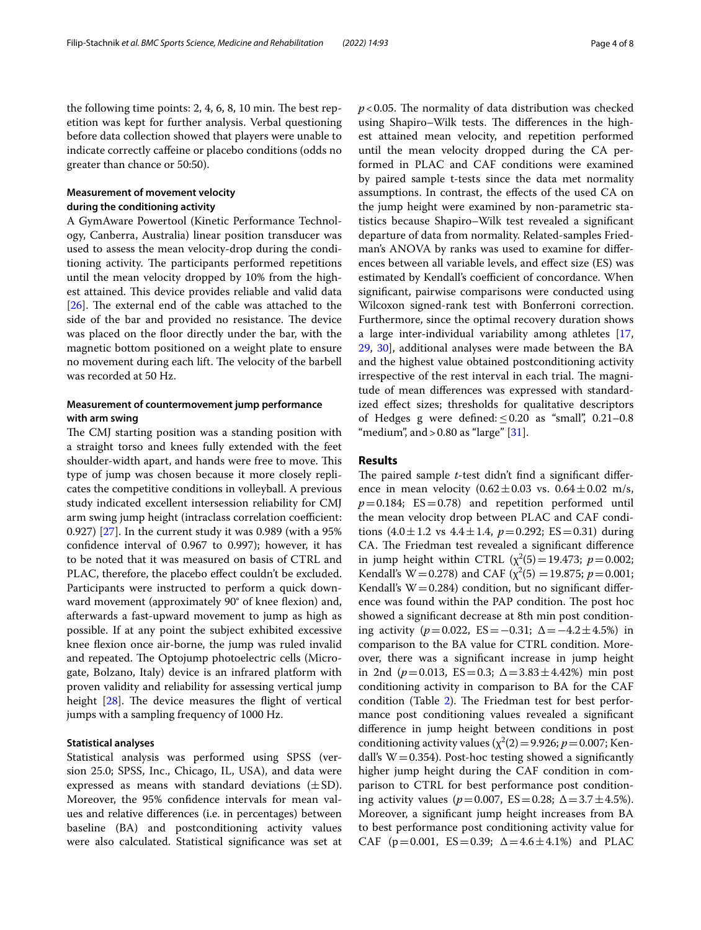the following time points:  $2, 4, 6, 8, 10$  min. The best repetition was kept for further analysis. Verbal questioning before data collection showed that players were unable to indicate correctly cafeine or placebo conditions (odds no greater than chance or 50:50).

## **Measurement of movement velocity during the conditioning activity**

A GymAware Powertool (Kinetic Performance Technology, Canberra, Australia) linear position transducer was used to assess the mean velocity-drop during the conditioning activity. The participants performed repetitions until the mean velocity dropped by 10% from the highest attained. This device provides reliable and valid data [ $26$ ]. The external end of the cable was attached to the side of the bar and provided no resistance. The device was placed on the floor directly under the bar, with the magnetic bottom positioned on a weight plate to ensure no movement during each lift. The velocity of the barbell was recorded at 50 Hz.

## **Measurement of countermovement jump performance with arm swing**

The CMJ starting position was a standing position with a straight torso and knees fully extended with the feet shoulder-width apart, and hands were free to move. This type of jump was chosen because it more closely replicates the competitive conditions in volleyball. A previous study indicated excellent intersession reliability for CMJ arm swing jump height (intraclass correlation coefficient: 0.927) [[27\]](#page-7-16). In the current study it was 0.989 (with a 95% confdence interval of 0.967 to 0.997); however, it has to be noted that it was measured on basis of CTRL and PLAC, therefore, the placebo effect couldn't be excluded. Participants were instructed to perform a quick downward movement (approximately 90° of knee fexion) and, afterwards a fast-upward movement to jump as high as possible. If at any point the subject exhibited excessive knee fexion once air-borne, the jump was ruled invalid and repeated. The Optojump photoelectric cells (Microgate, Bolzano, Italy) device is an infrared platform with proven validity and reliability for assessing vertical jump height  $[28]$  $[28]$ . The device measures the flight of vertical jumps with a sampling frequency of 1000 Hz.

## **Statistical analyses**

Statistical analysis was performed using SPSS (version 25.0; SPSS, Inc., Chicago, IL, USA), and data were expressed as means with standard deviations  $(\pm SD)$ . Moreover, the 95% confdence intervals for mean values and relative diferences (i.e. in percentages) between baseline (BA) and postconditioning activity values were also calculated. Statistical signifcance was set at  $p$ <0.05. The normality of data distribution was checked using Shapiro–Wilk tests. The differences in the highest attained mean velocity, and repetition performed until the mean velocity dropped during the CA performed in PLAC and CAF conditions were examined by paired sample t-tests since the data met normality assumptions. In contrast, the efects of the used CA on the jump height were examined by non-parametric statistics because Shapiro–Wilk test revealed a signifcant departure of data from normality. Related-samples Friedman's ANOVA by ranks was used to examine for diferences between all variable levels, and efect size (ES) was estimated by Kendall's coefficient of concordance. When signifcant, pairwise comparisons were conducted using Wilcoxon signed-rank test with Bonferroni correction. Furthermore, since the optimal recovery duration shows a large inter-individual variability among athletes [[17](#page-7-6), [29,](#page-7-18) [30](#page-7-19)], additional analyses were made between the BA and the highest value obtained postconditioning activity irrespective of the rest interval in each trial. The magnitude of mean diferences was expressed with standardized effect sizes; thresholds for qualitative descriptors of Hedges g were defined:  $\leq 0.20$  as "small", 0.21–0.8 "medium", and  $>0.80$  as "large"  $[31]$ .

## **Results**

The paired sample *t*-test didn't find a significant difference in mean velocity  $(0.62 \pm 0.03 \text{ vs. } 0.64 \pm 0.02 \text{ m/s})$  $p=0.184$ ;  $ES=0.78$ ) and repetition performed until the mean velocity drop between PLAC and CAF conditions  $(4.0 \pm 1.2 \text{ vs } 4.4 \pm 1.4, p=0.292; \text{ ES}=0.31)$  during CA. The Friedman test revealed a significant difference in jump height within CTRL  $(\chi^2(5) = 19.473; p = 0.002;$ Kendall's W = 0.278) and CAF ( $\chi^2(5)$  = 19.875; *p* = 0.001; Kendall's  $W = 0.284$ ) condition, but no significant difference was found within the PAP condition. The post hoc showed a signifcant decrease at 8th min post conditioning activity ( $p=0.022$ , ES = −0.31;  $\Delta$  = −4.2 ± 4.5%) in comparison to the BA value for CTRL condition. Moreover, there was a signifcant increase in jump height in 2nd ( $p=0.013$ , ES = 0.3;  $\Delta = 3.83 \pm 4.42\%$ ) min post conditioning activity in comparison to BA for the CAF condition (Table [2](#page-4-0)). The Friedman test for best performance post conditioning values revealed a signifcant diference in jump height between conditions in post conditioning activity values ( $\chi^2(2) = 9.926$ ; *p* = 0.007; Kendall's  $W = 0.354$ ). Post-hoc testing showed a significantly higher jump height during the CAF condition in comparison to CTRL for best performance post conditioning activity values ( $p = 0.007$ , ES = 0.28;  $\Delta = 3.7 \pm 4.5$ %). Moreover, a signifcant jump height increases from BA to best performance post conditioning activity value for CAF ( $p=0.001$ ,  $ES=0.39$ ;  $\Delta=4.6\pm4.1\%$ ) and PLAC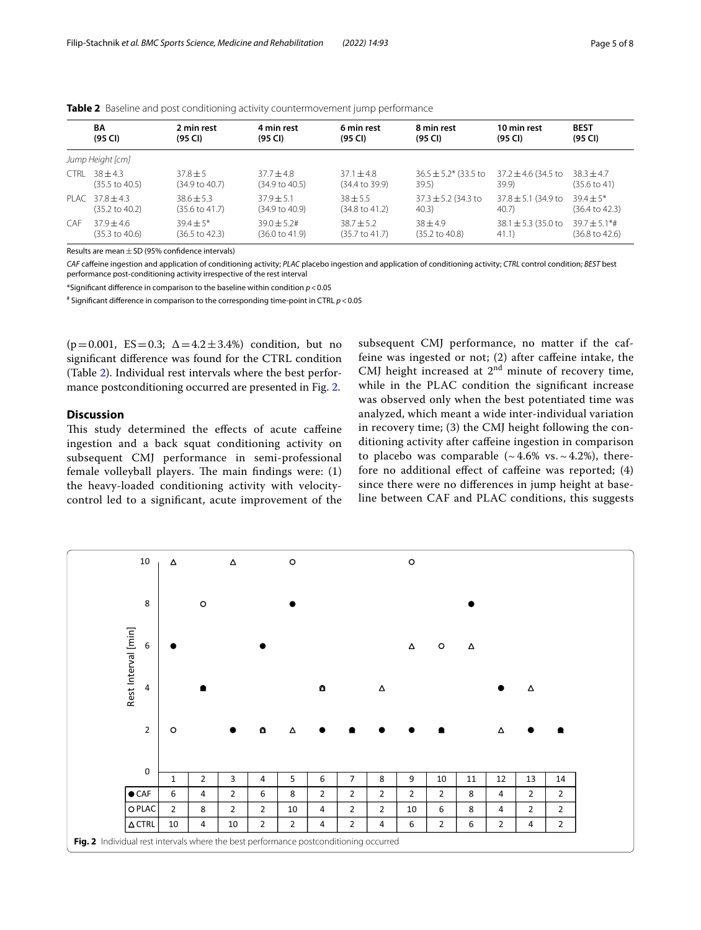|                  | BA                        | 2 min rest                | 4 min rest                | 6 min rest                | 8 min rest                | 10 min rest             | <b>BEST</b>               |  |
|------------------|---------------------------|---------------------------|---------------------------|---------------------------|---------------------------|-------------------------|---------------------------|--|
|                  | (95 CI)                   | (95 CI)                   | (95 CI)                   | (95 CI)                   | (95 CI)                   | (95 CI)                 | (95 CI)                   |  |
| Jump Height [cm] |                           |                           |                           |                           |                           |                         |                           |  |
| <b>CTRI</b>      | $38 + 43$                 | $37.8 + 5$                | $37.7 + 4.8$              | $37.1 + 4.8$              | $36.5 \pm 5.2$ (33.5 to   | $37.2 \pm 4.6$ (34.5 to | $38.3 + 4.7$              |  |
|                  | $(35.5 \text{ to } 40.5)$ | $(34.9 \text{ to } 40.7)$ | $(34.9 \text{ to } 40.5)$ | $(34.4 \text{ to } 39.9)$ | 39.5)                     | 39.9)                   | $(35.6 \text{ to } 41)$   |  |
|                  | PLAC $378 + 43$           | $38.6 + 5.3$              | $37.9 + 5.1$              | $38 + 5.5$                | $37.3 \pm 5.2$ (34.3 to   | $37.8 \pm 5.1$ (34.9 to | $39.4 + 5*$               |  |
|                  | $(35.2 \text{ to } 40.2)$ | $(35.6 \text{ to } 41.7)$ | $(34.9 \text{ to } 40.9)$ | $(34.8 \text{ to } 41.2)$ | 40.3)                     | 40.7                    | $(36.4 \text{ to } 42.3)$ |  |
| <b>CAF</b>       | $379 + 46$                | $39.4 \pm 5^*$            | $39.0 + 5.2$ #            | $38.7 + 5.2$              | $38 + 4.9$                | 38.1 $\pm$ 5.3 (35.0 to | $39.7 + 5.1$ *#           |  |
|                  | $(35.3 \text{ to } 40.6)$ | (36.5 to 42.3)            | $(36.0 \text{ to } 41.9)$ | $(35.7 \text{ to } 41.7)$ | $(35.2 \text{ to } 40.8)$ | 41.1)                   | $(36.8 \text{ to } 42.6)$ |  |

<span id="page-4-0"></span>**Table 2** Baseline and post conditioning activity countermovement jump performance

Results are mean  $\pm$  SD (95% confidence intervals)

*CAF* cafeine ingestion and application of conditioning activity; *PLAC* placebo ingestion and application of conditioning activity; *CTRL* control condition; *BEST* best performance post-conditioning activity irrespective of the rest interval

\*Signifcant diference in comparison to the baseline within condition *p*<0.05

# Signifcant diference in comparison to the corresponding time-point in CTRL *p*<0.05

( $p=0.001$ ,  $ES=0.3$ ;  $\Delta = 4.2 \pm 3.4$ %) condition, but no signifcant diference was found for the CTRL condition (Table [2\)](#page-4-0). Individual rest intervals where the best performance postconditioning occurred are presented in Fig. [2](#page-4-1).

## **Discussion**

This study determined the effects of acute caffeine ingestion and a back squat conditioning activity on subsequent CMJ performance in semi-professional female volleyball players. The main findings were:  $(1)$ the heavy-loaded conditioning activity with velocitycontrol led to a signifcant, acute improvement of the subsequent CMJ performance, no matter if the caffeine was ingested or not; (2) after cafeine intake, the CMJ height increased at  $2<sup>nd</sup>$  minute of recovery time, while in the PLAC condition the signifcant increase was observed only when the best potentiated time was analyzed, which meant a wide inter-individual variation in recovery time; (3) the CMJ height following the conditioning activity after cafeine ingestion in comparison to placebo was comparable  $({\sim}4.6\%$  vs.  ${\sim}4.2\%)$ , therefore no additional efect of cafeine was reported; (4) since there were no diferences in jump height at baseline between CAF and PLAC conditions, this suggests

<span id="page-4-1"></span>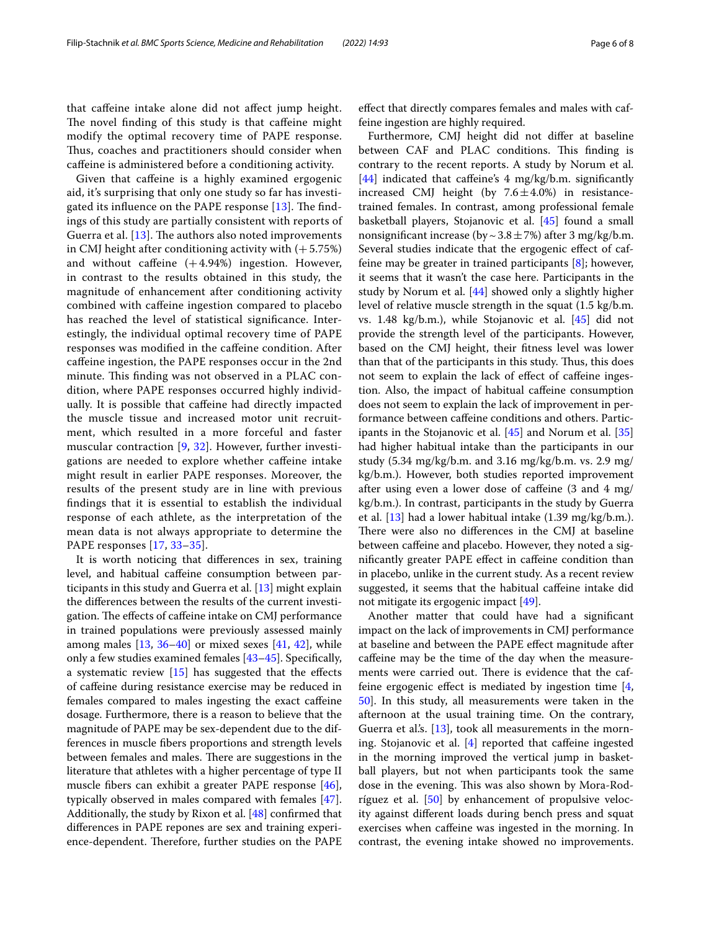that cafeine intake alone did not afect jump height. The novel finding of this study is that caffeine might modify the optimal recovery time of PAPE response. Thus, coaches and practitioners should consider when cafeine is administered before a conditioning activity.

Given that cafeine is a highly examined ergogenic aid, it's surprising that only one study so far has investigated its influence on the PAPE response  $[13]$  $[13]$  $[13]$ . The findings of this study are partially consistent with reports of Guerra et al.  $[13]$  $[13]$ . The authors also noted improvements in CMJ height after conditioning activity with  $(+5.75%)$ and without caffeine  $(+4.94%)$  ingestion. However, in contrast to the results obtained in this study, the magnitude of enhancement after conditioning activity combined with cafeine ingestion compared to placebo has reached the level of statistical signifcance. Interestingly, the individual optimal recovery time of PAPE responses was modifed in the cafeine condition. After cafeine ingestion, the PAPE responses occur in the 2nd minute. This finding was not observed in a PLAC condition, where PAPE responses occurred highly individually. It is possible that cafeine had directly impacted the muscle tissue and increased motor unit recruitment, which resulted in a more forceful and faster muscular contraction [[9](#page-6-6), [32\]](#page-7-21). However, further investigations are needed to explore whether cafeine intake might result in earlier PAPE responses. Moreover, the results of the present study are in line with previous fndings that it is essential to establish the individual response of each athlete, as the interpretation of the mean data is not always appropriate to determine the PAPE responses [[17](#page-7-6), [33–](#page-7-22)[35](#page-7-23)].

It is worth noticing that diferences in sex, training level, and habitual cafeine consumption between participants in this study and Guerra et al. [\[13](#page-7-2)] might explain the diferences between the results of the current investigation. The effects of caffeine intake on CMJ performance in trained populations were previously assessed mainly among males  $[13, 36-40]$  $[13, 36-40]$  $[13, 36-40]$  $[13, 36-40]$  or mixed sexes  $[41, 42]$  $[41, 42]$  $[41, 42]$  $[41, 42]$ , while only a few studies examined females [\[43](#page-7-28)[–45](#page-7-29)]. Specifcally, a systematic review [\[15\]](#page-7-4) has suggested that the efects of cafeine during resistance exercise may be reduced in females compared to males ingesting the exact cafeine dosage. Furthermore, there is a reason to believe that the magnitude of PAPE may be sex-dependent due to the differences in muscle fbers proportions and strength levels between females and males. There are suggestions in the literature that athletes with a higher percentage of type II muscle fbers can exhibit a greater PAPE response [\[46](#page-7-30)], typically observed in males compared with females [\[47](#page-7-31)]. Additionally, the study by Rixon et al. [\[48](#page-7-32)] confrmed that diferences in PAPE repones are sex and training experience-dependent. Therefore, further studies on the PAPE efect that directly compares females and males with caffeine ingestion are highly required.

Furthermore, CMJ height did not difer at baseline between CAF and PLAC conditions. This finding is contrary to the recent reports. A study by Norum et al. [[44\]](#page-7-33) indicated that caffeine's 4 mg/kg/b.m. significantly increased CMJ height (by  $7.6 \pm 4.0\%$ ) in resistancetrained females. In contrast, among professional female basketball players, Stojanovic et al. [[45\]](#page-7-29) found a small nonsignificant increase (by  $\sim$  3.8  $\pm$  7%) after 3 mg/kg/b.m. Several studies indicate that the ergogenic efect of caffeine may be greater in trained participants [\[8\]](#page-6-5); however, it seems that it wasn't the case here. Participants in the study by Norum et al. [[44\]](#page-7-33) showed only a slightly higher level of relative muscle strength in the squat (1.5 kg/b.m. vs. 1.48 kg/b.m.), while Stojanovic et al. [[45](#page-7-29)] did not provide the strength level of the participants. However, based on the CMJ height, their ftness level was lower than that of the participants in this study. Thus, this does not seem to explain the lack of efect of cafeine ingestion. Also, the impact of habitual cafeine consumption does not seem to explain the lack of improvement in performance between cafeine conditions and others. Participants in the Stojanovic et al. [[45\]](#page-7-29) and Norum et al. [[35](#page-7-23)] had higher habitual intake than the participants in our study (5.34 mg/kg/b.m. and 3.16 mg/kg/b.m. vs. 2.9 mg/ kg/b.m.). However, both studies reported improvement after using even a lower dose of cafeine (3 and 4 mg/ kg/b.m.). In contrast, participants in the study by Guerra et al. [[13\]](#page-7-2) had a lower habitual intake (1.39 mg/kg/b.m.). There were also no differences in the CMJ at baseline between caffeine and placebo. However, they noted a signifcantly greater PAPE efect in cafeine condition than in placebo, unlike in the current study. As a recent review suggested, it seems that the habitual cafeine intake did not mitigate its ergogenic impact [[49](#page-7-34)].

Another matter that could have had a signifcant impact on the lack of improvements in CMJ performance at baseline and between the PAPE efect magnitude after cafeine may be the time of the day when the measurements were carried out. There is evidence that the caffeine ergogenic effect is mediated by ingestion time  $[4, 4]$  $[4, 4]$ [50\]](#page-7-35). In this study, all measurements were taken in the afternoon at the usual training time. On the contrary, Guerra et al's.  $[13]$  $[13]$ , took all measurements in the morning. Stojanovic et al.  $[4]$  $[4]$  reported that caffeine ingested in the morning improved the vertical jump in basketball players, but not when participants took the same dose in the evening. This was also shown by Mora-Rodríguez et al. [\[50](#page-7-35)] by enhancement of propulsive velocity against diferent loads during bench press and squat exercises when cafeine was ingested in the morning. In contrast, the evening intake showed no improvements.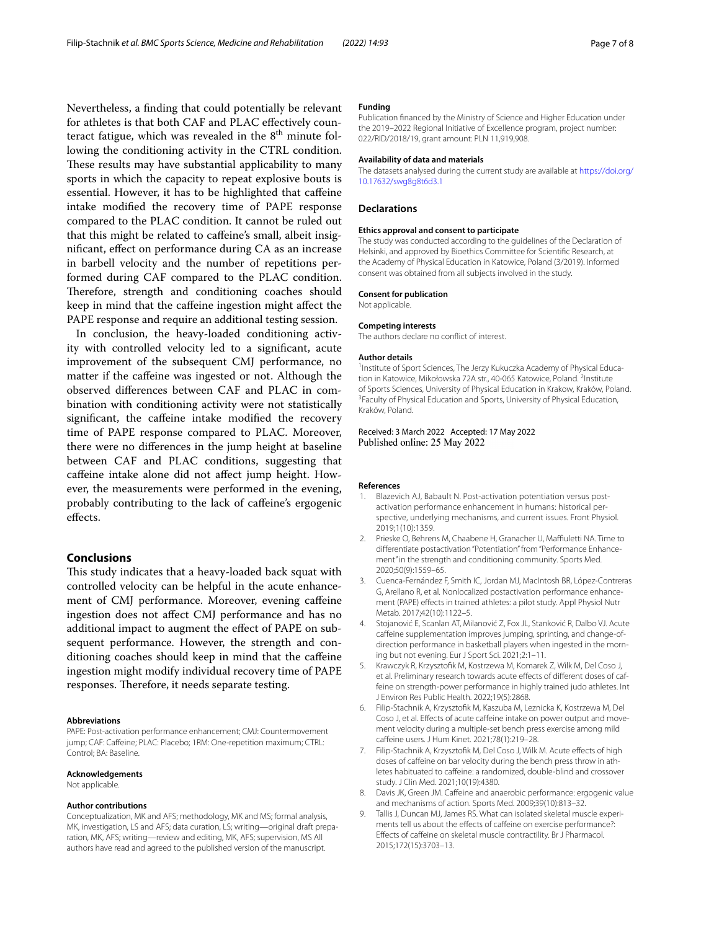Nevertheless, a fnding that could potentially be relevant for athletes is that both CAF and PLAC efectively counteract fatigue, which was revealed in the  $8<sup>th</sup>$  minute following the conditioning activity in the CTRL condition. These results may have substantial applicability to many sports in which the capacity to repeat explosive bouts is essential. However, it has to be highlighted that cafeine intake modifed the recovery time of PAPE response compared to the PLAC condition. It cannot be ruled out that this might be related to cafeine's small, albeit insignifcant, efect on performance during CA as an increase in barbell velocity and the number of repetitions performed during CAF compared to the PLAC condition. Therefore, strength and conditioning coaches should keep in mind that the cafeine ingestion might afect the PAPE response and require an additional testing session.

In conclusion, the heavy-loaded conditioning activity with controlled velocity led to a signifcant, acute improvement of the subsequent CMJ performance, no matter if the cafeine was ingested or not. Although the observed diferences between CAF and PLAC in combination with conditioning activity were not statistically significant, the caffeine intake modified the recovery time of PAPE response compared to PLAC. Moreover, there were no diferences in the jump height at baseline between CAF and PLAC conditions, suggesting that caffeine intake alone did not affect jump height. However, the measurements were performed in the evening, probably contributing to the lack of cafeine's ergogenic efects.

## **Conclusions**

This study indicates that a heavy-loaded back squat with controlled velocity can be helpful in the acute enhancement of CMJ performance. Moreover, evening cafeine ingestion does not afect CMJ performance and has no additional impact to augment the efect of PAPE on subsequent performance. However, the strength and conditioning coaches should keep in mind that the cafeine ingestion might modify individual recovery time of PAPE responses. Therefore, it needs separate testing.

#### **Abbreviations**

PAPE: Post-activation performance enhancement; CMJ: Countermovement jump; CAF: Caffeine; PLAC: Placebo; 1RM: One-repetition maximum; CTRL: Control; BA: Baseline.

#### **Acknowledgements**

Not applicable.

## **Author contributions**

Conceptualization, MK and AFS; methodology, MK and MS; formal analysis, MK, investigation, LS and AFS; data curation, LS; writing—original draft preparation, MK, AFS; writing—review and editing, MK, AFS; supervision, MS All authors have read and agreed to the published version of the manuscript.

### **Funding**

Publication fnanced by the Ministry of Science and Higher Education under the 2019–2022 Regional Initiative of Excellence program, project number: 022/RID/2018/19, grant amount: PLN 11,919,908.

#### **Availability of data and materials**

The datasets analysed during the current study are available at [https://doi.org/](https://doi.org/10.17632/swg8g8t6d3.1) [10.17632/swg8g8t6d3.1](https://doi.org/10.17632/swg8g8t6d3.1)

## **Declarations**

#### **Ethics approval and consent to participate**

The study was conducted according to the guidelines of the Declaration of Helsinki, and approved by Bioethics Committee for Scientifc Research, at the Academy of Physical Education in Katowice, Poland (3/2019). Informed consent was obtained from all subjects involved in the study.

#### **Consent for publication**

Not applicable.

#### **Competing interests**

The authors declare no confict of interest.

#### **Author details**

<sup>1</sup> Institute of Sport Sciences, The Jerzy Kukuczka Academy of Physical Education in Katowice, Mikołowska 72A str., 40-065 Katowice, Poland. <sup>2</sup>Institute of Sports Sciences, University of Physical Education in Krakow, Kraków, Poland. 3 <sup>3</sup> Faculty of Physical Education and Sports, University of Physical Education, Kraków, Poland.

Received: 3 March 2022 Accepted: 17 May 2022 Published online: 25 May 2022

#### **References**

- <span id="page-6-0"></span>1. Blazevich AJ, Babault N. Post-activation potentiation versus postactivation performance enhancement in humans: historical perspective, underlying mechanisms, and current issues. Front Physiol. 2019;1(10):1359.
- <span id="page-6-1"></span>2. Prieske O, Behrens M, Chaabene H, Granacher U, Maffiuletti NA. Time to differentiate postactivation "Potentiation" from "Performance Enhancement" in the strength and conditioning community. Sports Med. 2020;50(9):1559–65.
- <span id="page-6-2"></span>3. Cuenca-Fernández F, Smith IC, Jordan MJ, MacIntosh BR, López-Contreras G, Arellano R, et al. Nonlocalized postactivation performance enhancement (PAPE) efects in trained athletes: a pilot study. Appl Physiol Nutr Metab. 2017;42(10):1122–5.
- <span id="page-6-3"></span>4. Stojanović E, Scanlan AT, Milanović Z, Fox JL, Stanković R, Dalbo VJ. Acute caffeine supplementation improves jumping, sprinting, and change-ofdirection performance in basketball players when ingested in the morning but not evening. Eur J Sport Sci. 2021;2:1–11.
- 5. Krawczyk R, Krzysztofk M, Kostrzewa M, Komarek Z, Wilk M, Del Coso J, et al. Preliminary research towards acute effects of different doses of caffeine on strength-power performance in highly trained judo athletes. Int J Environ Res Public Health. 2022;19(5):2868.
- 6. Filip-Stachnik A, Krzysztofk M, Kaszuba M, Leznicka K, Kostrzewa M, Del Coso J, et al. Effects of acute caffeine intake on power output and movement velocity during a multiple-set bench press exercise among mild cafeine users. J Hum Kinet. 2021;78(1):219–28.
- <span id="page-6-4"></span>7. Filip-Stachnik A, Krzysztofk M, Del Coso J, Wilk M. Acute efects of high doses of caffeine on bar velocity during the bench press throw in athletes habituated to cafeine: a randomized, double-blind and crossover study. J Clin Med. 2021;10(19):4380.
- <span id="page-6-5"></span>8. Davis JK, Green JM. Caffeine and anaerobic performance: ergogenic value and mechanisms of action. Sports Med. 2009;39(10):813–32.
- <span id="page-6-6"></span>9. Tallis J, Duncan MJ, James RS. What can isolated skeletal muscle experiments tell us about the effects of caffeine on exercise performance?: Efects of cafeine on skeletal muscle contractility. Br J Pharmacol. 2015;172(15):3703–13.